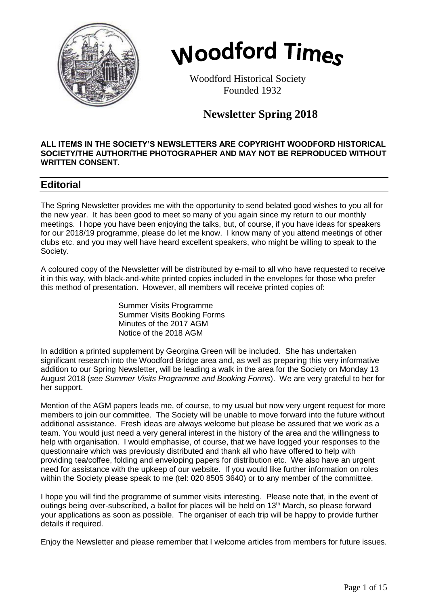



 Woodford Historical Society Founded 1932

# **Newsletter Spring 2018**

#### **ALL ITEMS IN THE SOCIETY'S NEWSLETTERS ARE COPYRIGHT WOODFORD HISTORICAL SOCIETY/THE AUTHOR/THE PHOTOGRAPHER AND MAY NOT BE REPRODUCED WITHOUT WRITTEN CONSENT.**

## **Editorial**

The Spring Newsletter provides me with the opportunity to send belated good wishes to you all for the new year. It has been good to meet so many of you again since my return to our monthly meetings. I hope you have been enjoying the talks, but, of course, if you have ideas for speakers for our 2018/19 programme, please do let me know. I know many of you attend meetings of other clubs etc. and you may well have heard excellent speakers, who might be willing to speak to the Society.

A coloured copy of the Newsletter will be distributed by e-mail to all who have requested to receive it in this way, with black-and-white printed copies included in the envelopes for those who prefer this method of presentation. However, all members will receive printed copies of:

> Summer Visits Programme Summer Visits Booking Forms Minutes of the 2017 AGM Notice of the 2018 AGM

In addition a printed supplement by Georgina Green will be included. She has undertaken significant research into the Woodford Bridge area and, as well as preparing this very informative addition to our Spring Newsletter, will be leading a walk in the area for the Society on Monday 13 August 2018 (*see Summer Visits Programme and Booking Forms*). We are very grateful to her for her support.

Mention of the AGM papers leads me, of course, to my usual but now very urgent request for more members to join our committee. The Society will be unable to move forward into the future without additional assistance. Fresh ideas are always welcome but please be assured that we work as a team. You would just need a very general interest in the history of the area and the willingness to help with organisation. I would emphasise, of course, that we have logged your responses to the questionnaire which was previously distributed and thank all who have offered to help with providing tea/coffee, folding and enveloping papers for distribution etc. We also have an urgent need for assistance with the upkeep of our website. If you would like further information on roles within the Society please speak to me (tel: 020 8505 3640) or to any member of the committee.

I hope you will find the programme of summer visits interesting. Please note that, in the event of outings being over-subscribed, a ballot for places will be held on 13<sup>th</sup> March, so please forward your applications as soon as possible. The organiser of each trip will be happy to provide further details if required.

Enjoy the Newsletter and please remember that I welcome articles from members for future issues.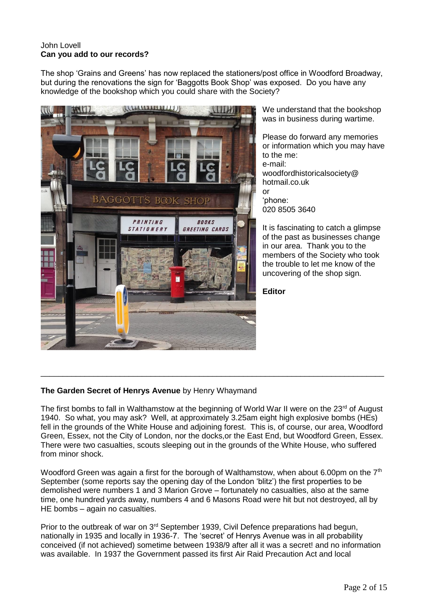## John Lovell **Can you add to our records?**

The shop 'Grains and Greens' has now replaced the stationers/post office in Woodford Broadway, but during the renovations the sign for 'Baggotts Book Shop' was exposed. Do you have any knowledge of the bookshop which you could share with the Society?



We understand that the bookshop was in business during wartime.

Please do forward any memories or information which you may have to the me: e-mail: woodfordhistoricalsociety@ hotmail.co.uk or 'phone: 020 8505 3640

It is fascinating to catch a glimpse of the past as businesses change in our area. Thank you to the members of the Society who took the trouble to let me know of the uncovering of the shop sign.

**Editor**

### **The Garden Secret of Henrys Avenue** by Henry Whaymand

The first bombs to fall in Walthamstow at the beginning of World War II were on the  $23<sup>rd</sup>$  of August 1940. So what, you may ask? Well, at approximately 3.25am eight high explosive bombs (HEs) fell in the grounds of the White House and adjoining forest. This is, of course, our area, Woodford Green, Essex, not the City of London, nor the docks,or the East End, but Woodford Green, Essex. There were two casualties, scouts sleeping out in the grounds of the White House, who suffered from minor shock.

\_\_\_\_\_\_\_\_\_\_\_\_\_\_\_\_\_\_\_\_\_\_\_\_\_\_\_\_\_\_\_\_\_\_\_\_\_\_\_\_\_\_\_\_\_\_\_\_\_\_\_\_\_\_\_\_\_\_\_\_\_\_\_\_\_\_\_\_\_\_\_\_\_\_\_\_\_\_

Woodford Green was again a first for the borough of Walthamstow, when about 6.00pm on the  $7<sup>th</sup>$ September (some reports say the opening day of the London 'blitz') the first properties to be demolished were numbers 1 and 3 Marion Grove – fortunately no casualties, also at the same time, one hundred yards away, numbers 4 and 6 Masons Road were hit but not destroyed, all by HE bombs – again no casualties.

Prior to the outbreak of war on 3<sup>rd</sup> September 1939, Civil Defence preparations had begun, nationally in 1935 and locally in 1936-7. The 'secret' of Henrys Avenue was in all probability conceived (if not achieved) sometime between 1938/9 after all it was a secret! and no information was available. In 1937 the Government passed its first Air Raid Precaution Act and local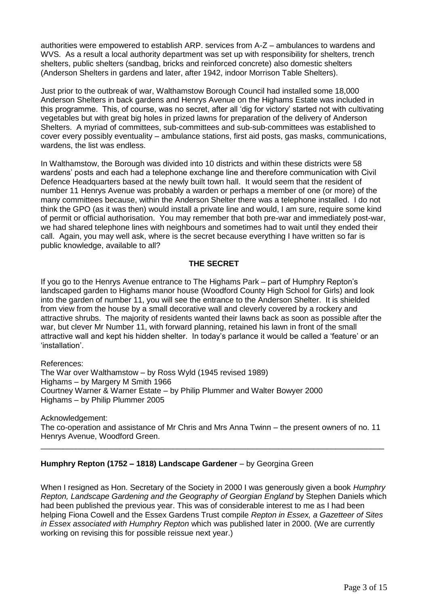authorities were empowered to establish ARP. services from A-Z – ambulances to wardens and WVS. As a result a local authority department was set up with responsibility for shelters, trench shelters, public shelters (sandbag, bricks and reinforced concrete) also domestic shelters (Anderson Shelters in gardens and later, after 1942, indoor Morrison Table Shelters).

Just prior to the outbreak of war, Walthamstow Borough Council had installed some 18,000 Anderson Shelters in back gardens and Henrys Avenue on the Highams Estate was included in this programme. This, of course, was no secret, after all 'dig for victory' started not with cultivating vegetables but with great big holes in prized lawns for preparation of the delivery of Anderson Shelters. A myriad of committees, sub-committees and sub-sub-committees was established to cover every possibly eventuality – ambulance stations, first aid posts, gas masks, communications, wardens, the list was endless.

In Walthamstow, the Borough was divided into 10 districts and within these districts were 58 wardens' posts and each had a telephone exchange line and therefore communication with Civil Defence Headquarters based at the newly built town hall. It would seem that the resident of number 11 Henrys Avenue was probably a warden or perhaps a member of one (or more) of the many committees because, within the Anderson Shelter there was a telephone installed. I do not think the GPO (as it was then) would install a private line and would, I am sure, require some kind of permit or official authorisation. You may remember that both pre-war and immediately post-war, we had shared telephone lines with neighbours and sometimes had to wait until they ended their call. Again, you may well ask, where is the secret because everything I have written so far is public knowledge, available to all?

## **THE SECRET**

If you go to the Henrys Avenue entrance to The Highams Park – part of Humphry Repton's landscaped garden to Highams manor house (Woodford County High School for Girls) and look into the garden of number 11, you will see the entrance to the Anderson Shelter. It is shielded from view from the house by a small decorative wall and cleverly covered by a rockery and attractive shrubs. The majority of residents wanted their lawns back as soon as possible after the war, but clever Mr Number 11, with forward planning, retained his lawn in front of the small attractive wall and kept his hidden shelter. In today's parlance it would be called a 'feature' or an 'installation'.

References:

The War over Walthamstow – by Ross Wyld (1945 revised 1989) Highams – by Margery M Smith 1966 Courtney Warner & Warner Estate – by Philip Plummer and Walter Bowyer 2000 Highams – by Philip Plummer 2005

Acknowledgement: The co-operation and assistance of Mr Chris and Mrs Anna Twinn – the present owners of no. 11 Henrys Avenue, Woodford Green.

\_\_\_\_\_\_\_\_\_\_\_\_\_\_\_\_\_\_\_\_\_\_\_\_\_\_\_\_\_\_\_\_\_\_\_\_\_\_\_\_\_\_\_\_\_\_\_\_\_\_\_\_\_\_\_\_\_\_\_\_\_\_\_\_\_\_\_\_\_\_\_\_\_\_\_\_\_\_

### **Humphry Repton (1752 – 1818) Landscape Gardener** – by Georgina Green

When I resigned as Hon. Secretary of the Society in 2000 I was generously given a book *Humphry Repton, Landscape Gardening and the Geography of Georgian England* by Stephen Daniels which had been published the previous year. This was of considerable interest to me as I had been helping Fiona Cowell and the Essex Gardens Trust compile *Repton in Essex, a Gazetteer of Sites in Essex associated with Humphry Repton* which was published later in 2000. (We are currently working on revising this for possible reissue next year.)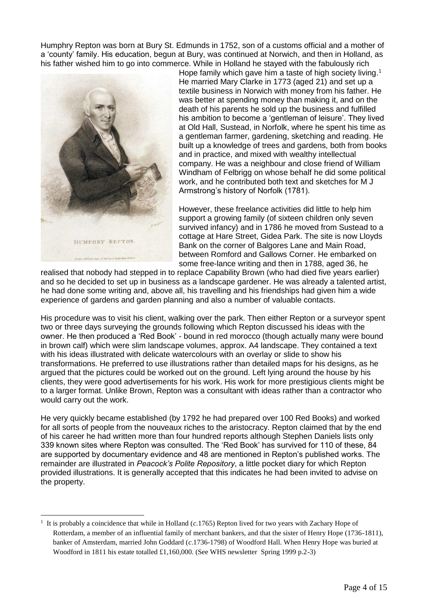Humphry Repton was born at Bury St. Edmunds in 1752, son of a customs official and a mother of a 'county' family. His education, begun at Bury, was continued at Norwich, and then in Holland, as his father wished him to go into commerce. While in Holland he stayed with the fabulously rich



 $\overline{a}$ 

Hope family which gave him a taste of high society living.<sup>1</sup> He married Mary Clarke in 1773 (aged 21) and set up a textile business in Norwich with money from his father. He was better at spending money than making it, and on the death of his parents he sold up the business and fulfilled his ambition to become a 'gentleman of leisure'. They lived at Old Hall, Sustead, in Norfolk, where he spent his time as a gentleman farmer, gardening, sketching and reading. He built up a knowledge of trees and gardens, both from books and in practice, and mixed with wealthy intellectual company. He was a neighbour and close friend of William Windham of Felbrigg on whose behalf he did some political work, and he contributed both text and sketches for M J Armstrong's history of Norfolk (1781).

However, these freelance activities did little to help him support a growing family (of sixteen children only seven survived infancy) and in 1786 he moved from Sustead to a cottage at Hare Street, Gidea Park. The site is now Lloyds Bank on the corner of Balgores Lane and Main Road, between Romford and Gallows Corner. He embarked on some free-lance writing and then in 1788, aged 36, he

realised that nobody had stepped in to replace Capability Brown (who had died five years earlier) and so he decided to set up in business as a landscape gardener. He was already a talented artist, he had done some writing and, above all, his travelling and his friendships had given him a wide experience of gardens and garden planning and also a number of valuable contacts.

His procedure was to visit his client, walking over the park. Then either Repton or a surveyor spent two or three days surveying the grounds following which Repton discussed his ideas with the owner. He then produced a 'Red Book' - bound in red morocco (though actually many were bound in brown calf) which were slim landscape volumes, approx. A4 landscape. They contained a text with his ideas illustrated with delicate watercolours with an overlay or slide to show his transformations. He preferred to use illustrations rather than detailed maps for his designs, as he argued that the pictures could be worked out on the ground. Left lying around the house by his clients, they were good advertisements for his work. His work for more prestigious clients might be to a larger format. Unlike Brown, Repton was a consultant with ideas rather than a contractor who would carry out the work.

He very quickly became established (by 1792 he had prepared over 100 Red Books) and worked for all sorts of people from the nouveaux riches to the aristocracy. Repton claimed that by the end of his career he had written more than four hundred reports although Stephen Daniels lists only 339 known sites where Repton was consulted. The 'Red Book' has survived for 110 of these, 84 are supported by documentary evidence and 48 are mentioned in Repton's published works. The remainder are illustrated in *Peacock's Polite Repository*, a little pocket diary for which Repton provided illustrations. It is generally accepted that this indicates he had been invited to advise on the property.

<sup>1</sup> It is probably a coincidence that while in Holland (*c*.1765) Repton lived for two years with Zachary Hope of Rotterdam, a member of an influential family of merchant bankers, and that the sister of Henry Hope (1736-1811), banker of Amsterdam, married John Goddard (*c*.1736-1798) of Woodford Hall. When Henry Hope was buried at Woodford in 1811 his estate totalled £1,160,000. (See WHS newsletter Spring 1999 p.2-3)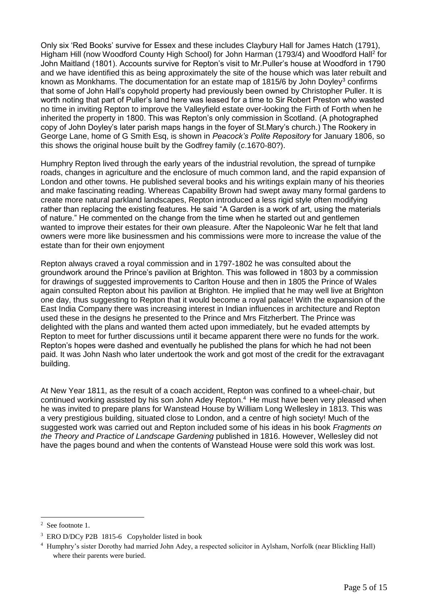Only six 'Red Books' survive for Essex and these includes Claybury Hall for James Hatch (1791), Higham Hill (now Woodford County High School) for John Harman (1793/4) and Woodford Hall<sup>2</sup> for John Maitland (1801). Accounts survive for Repton's visit to Mr.Puller's house at Woodford in 1790 and we have identified this as being approximately the site of the house which was later rebuilt and known as Monkhams. The documentation for an estate map of 1815/6 by John Doyley<sup>3</sup> confirms that some of John Hall's copyhold property had previously been owned by Christopher Puller. It is worth noting that part of Puller's land here was leased for a time to Sir Robert Preston who wasted no time in inviting Repton to improve the Valleyfield estate over-looking the Firth of Forth when he inherited the property in 1800. This was Repton's only commission in Scotland. (A photographed copy of John Doyley's later parish maps hangs in the foyer of St.Mary's church.) The Rookery in George Lane, home of G Smith Esq, is shown in *Peacock's Polite Repository* for January 1806, so this shows the original house built by the Godfrey family (*c*.1670-80?).

Humphry Repton lived through the early years of the industrial revolution, the spread of turnpike roads, changes in agriculture and the enclosure of much common land, and the rapid expansion of London and other towns. He published several books and his writings explain many of his theories and make fascinating reading. Whereas Capability Brown had swept away many formal gardens to create more natural parkland landscapes, Repton introduced a less rigid style often modifying rather than replacing the existing features. He said "A Garden is a work of art, using the materials of nature." He commented on the change from the time when he started out and gentlemen wanted to improve their estates for their own pleasure. After the Napoleonic War he felt that land owners were more like businessmen and his commissions were more to increase the value of the estate than for their own enjoyment

Repton always craved a royal commission and in 1797-1802 he was consulted about the groundwork around the Prince's pavilion at Brighton. This was followed in 1803 by a commission for drawings of suggested improvements to Carlton House and then in 1805 the Prince of Wales again consulted Repton about his pavilion at Brighton. He implied that he may well live at Brighton one day, thus suggesting to Repton that it would become a royal palace! With the expansion of the East India Company there was increasing interest in Indian influences in architecture and Repton used these in the designs he presented to the Prince and Mrs Fitzherbert. The Prince was delighted with the plans and wanted them acted upon immediately, but he evaded attempts by Repton to meet for further discussions until it became apparent there were no funds for the work. Repton's hopes were dashed and eventually he published the plans for which he had not been paid. It was John Nash who later undertook the work and got most of the credit for the extravagant building.

At New Year 1811, as the result of a coach accident, Repton was confined to a wheel-chair, but continued working assisted by his son John Adey Repton.<sup>4</sup> He must have been very pleased when he was invited to prepare plans for Wanstead House by William Long Wellesley in 1813. This was a very prestigious building, situated close to London, and a centre of high society! Much of the suggested work was carried out and Repton included some of his ideas in his book *Fragments on the Theory and Practice of Landscape Gardening* published in 1816. However, Wellesley did not have the pages bound and when the contents of Wanstead House were sold this work was lost.

 $\overline{a}$ 

<sup>&</sup>lt;sup>2</sup> See footnote 1.

<sup>&</sup>lt;sup>3</sup> ERO D/DCy P2B 1815-6 Copyholder listed in book

<sup>4</sup> Humphry's sister Dorothy had married John Adey, a respected solicitor in Aylsham, Norfolk (near Blickling Hall) where their parents were buried.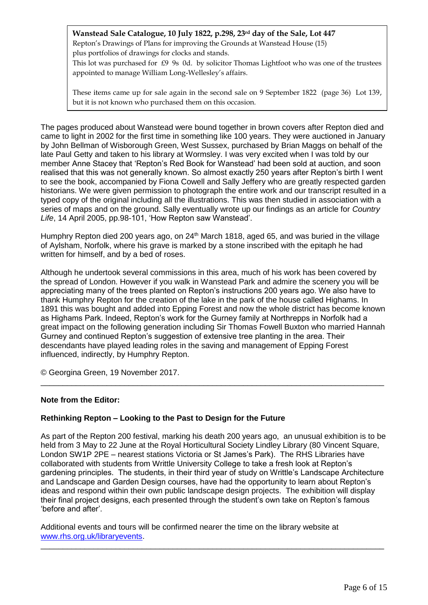## **Wanstead Sale Catalogue, 10 July 1822, p.298, 23rd day of the Sale, Lot 447**

Repton's Drawings of Plans for improving the Grounds at Wanstead House (15) plus portfolios of drawings for clocks and stands.

This lot was purchased for £9 9s 0d. by solicitor Thomas Lightfoot who was one of the trustees appointed to manage William Long-Wellesley's affairs.

These items came up for sale again in the second sale on 9 September 1822 (page 36) Lot 139, but it is not known who purchased them on this occasion.

The pages produced about Wanstead were bound together in brown covers after Repton died and came to light in 2002 for the first time in something like 100 years. They were auctioned in January by John Bellman of Wisborough Green, West Sussex, purchased by Brian Maggs on behalf of the late Paul Getty and taken to his library at Wormsley. I was very excited when I was told by our member Anne Stacey that 'Repton's Red Book for Wanstead' had been sold at auction, and soon realised that this was not generally known. So almost exactly 250 years after Repton's birth I went to see the book, accompanied by Fiona Cowell and Sally Jeffery who are greatly respected garden historians. We were given permission to photograph the entire work and our transcript resulted in a typed copy of the original including all the illustrations. This was then studied in association with a series of maps and on the ground. Sally eventually wrote up our findings as an article for *Country Life*, 14 April 2005, pp.98-101, 'How Repton saw Wanstead'.

Humphry Repton died 200 years ago, on 24<sup>th</sup> March 1818, aged 65, and was buried in the village of Aylsham, Norfolk, where his grave is marked by a stone inscribed with the epitaph he had written for himself, and by a bed of roses.

Although he undertook several commissions in this area, much of his work has been covered by the spread of London. However if you walk in Wanstead Park and admire the scenery you will be appreciating many of the trees planted on Repton's instructions 200 years ago. We also have to thank Humphry Repton for the creation of the lake in the park of the house called Highams. In 1891 this was bought and added into Epping Forest and now the whole district has become known as Highams Park. Indeed, Repton's work for the Gurney family at Northrepps in Norfolk had a great impact on the following generation including Sir Thomas Fowell Buxton who married Hannah Gurney and continued Repton's suggestion of extensive tree planting in the area. Their descendants have played leading roles in the saving and management of Epping Forest influenced, indirectly, by Humphry Repton.

\_\_\_\_\_\_\_\_\_\_\_\_\_\_\_\_\_\_\_\_\_\_\_\_\_\_\_\_\_\_\_\_\_\_\_\_\_\_\_\_\_\_\_\_\_\_\_\_\_\_\_\_\_\_\_\_\_\_\_\_\_\_\_\_\_\_\_\_\_\_\_\_\_\_\_\_\_\_

© Georgina Green, 19 November 2017.

### **Note from the Editor:**

### **Rethinking Repton – Looking to the Past to Design for the Future**

As part of the Repton 200 festival, marking his death 200 years ago, an unusual exhibition is to be held from 3 May to 22 June at the Royal Horticultural Society Lindley Library (80 Vincent Square, London SW1P 2PE – nearest stations Victoria or St James's Park). The RHS Libraries have collaborated with students from Writtle University College to take a fresh look at Repton's gardening principles. The students, in their third year of study on Writtle's Landscape Architecture and Landscape and Garden Design courses, have had the opportunity to learn about Repton's ideas and respond within their own public landscape design projects. The exhibition will display their final project designs, each presented through the student's own take on Repton's famous 'before and after'.

\_\_\_\_\_\_\_\_\_\_\_\_\_\_\_\_\_\_\_\_\_\_\_\_\_\_\_\_\_\_\_\_\_\_\_\_\_\_\_\_\_\_\_\_\_\_\_\_\_\_\_\_\_\_\_\_\_\_\_\_\_\_\_\_\_\_\_\_\_\_\_\_\_\_\_\_\_\_

Additional events and tours will be confirmed nearer the time on the library website at [www.rhs.org.uk/libraryevents.](http://www.rhs.org.uk/libraryevents)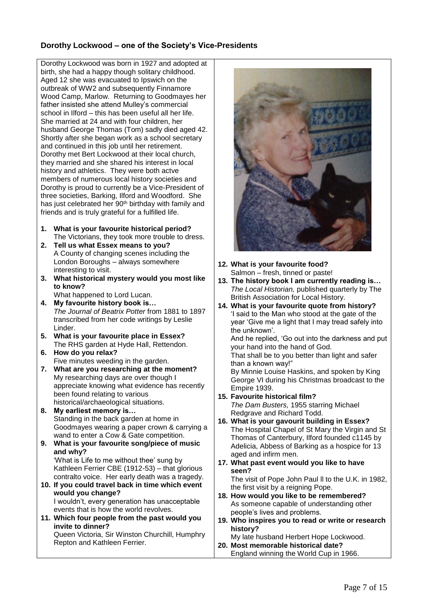## **Dorothy Lockwood – one of the Society's Vice-Presidents**

Dorothy Lockwood was born in 1927 and adopted at birth, she had a happy though solitary childhood. Aged 12 she was evacuated to Ipswich on the outbreak of WW2 and subsequently Finnamore Wood Camp, Marlow. Returning to Goodmayes her father insisted she attend Mulley's commercial school in Ilford – this has been useful all her life. She married at 24 and with four children, her husband George Thomas (Tom) sadly died aged 42. Shortly after she began work as a school secretary and continued in this job until her retirement. Dorothy met Bert Lockwood at their local church, they married and she shared his interest in local history and athletics. They were both actve members of numerous local history societies and Dorothy is proud to currently be a Vice-President of three societies, Barking, Ilford and Woodford. She has just celebrated her 90<sup>th</sup> birthday with family and friends and is truly grateful for a fulfilled life.

- **1. What is your favourite historical period?** The Victorians, they took more trouble to dress.
- **2. Tell us what Essex means to you?** A County of changing scenes including the London Boroughs – always somewhere interesting to visit.
- **3. What historical mystery would you most like to know?**
	- What happened to Lord Lucan.
- **4. My favourite history book is…** *The Journal of Beatrix Potter* from 1881 to 1897 transcribed from her code writings by Leslie Linder.
- **5. What is your favourite place in Essex?** The RHS garden at Hyde Hall, Rettendon.
- **6. How do you relax?** Five minutes weeding in the garden.
- **7. What are you researching at the moment?** My researching days are over though I appreciate knowing what evidence has recently been found relating to various historical/archaeological situations.
- **8. My earliest memory is…** Standing in the back garden at home in Goodmayes wearing a paper crown & carrying a wand to enter a Cow & Gate competition.
- **9. What is your favourite song/piece of music and why?** 'What is Life to me without thee' sung by

Kathleen Ferrier CBE (1912-53) – that glorious contralto voice. Her early death was a tragedy.

**10. If you could travel back in time which event would you change?** I wouldn't, every generation has unacceptable

events that is how the world revolves.

**11. Which four people from the past would you invite to dinner?** Queen Victoria, Sir Winston Churchill, Humphry

Repton and Kathleen Ferrier.



- **12. What is your favourite food?** Salmon – fresh, tinned or paste!
- **13. The history book I am currently reading is…** *The Local Historian,* published quarterly by The British Association for Local History.
- **14. What is your favourite quote from history?** 'I said to the Man who stood at the gate of the year 'Give me a light that I may tread safely into the unknown'.

And he replied, 'Go out into the darkness and put your hand into the hand of God.

That shall be to you better than light and safer than a known way!"

By Minnie Louise Haskins, and spoken by King George VI during his Christmas broadcast to the Empire 1939.

- **15. Favourite historical film?** *The Dam Busters,* 1955 starring Michael Redgrave and Richard Todd.
- **16. What is your gavourit building in Essex?** The Hospital Chapel of St Mary the Virgin and St Thomas of Canterbury, Ilford founded c1145 by Adelicia, Abbess of Barking as a hospice for 13 aged and infirm men.
- **17. What past event would you like to have seen?** The visit of Pope John Paul ll to the U.K. in 1982, the first visit by a reigning Pope.
- **18. How would you like to be remembered?** As someone capable of understanding other people's lives and problems.
- **19. Who inspires you to read or write or research history?**

My late husband Herbert Hope Lockwood. **20. Most memorable historical date?**

England winning the World Cup in 1966.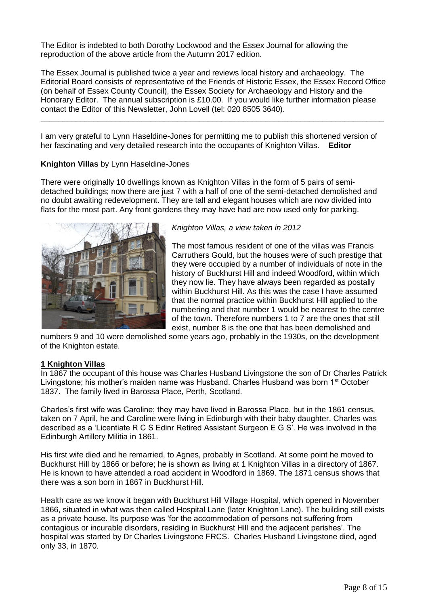The Editor is indebted to both Dorothy Lockwood and the Essex Journal for allowing the reproduction of the above article from the Autumn 2017 edition.

The Essex Journal is published twice a year and reviews local history and archaeology. The Editorial Board consists of representative of the Friends of Historic Essex, the Essex Record Office (on behalf of Essex County Council), the Essex Society for Archaeology and History and the Honorary Editor. The annual subscription is £10.00. If you would like further information please contact the Editor of this Newsletter, John Lovell (tel: 020 8505 3640).

\_\_\_\_\_\_\_\_\_\_\_\_\_\_\_\_\_\_\_\_\_\_\_\_\_\_\_\_\_\_\_\_\_\_\_\_\_\_\_\_\_\_\_\_\_\_\_\_\_\_\_\_\_\_\_\_\_\_\_\_\_\_\_\_\_\_\_\_\_\_\_\_\_\_\_\_\_\_

I am very grateful to Lynn Haseldine-Jones for permitting me to publish this shortened version of her fascinating and very detailed research into the occupants of Knighton Villas. **Editor**

#### **Knighton Villas** by Lynn Haseldine-Jones

There were originally 10 dwellings known as Knighton Villas in the form of 5 pairs of semidetached buildings; now there are just 7 with a half of one of the semi-detached demolished and no doubt awaiting redevelopment. They are tall and elegant houses which are now divided into flats for the most part. Any front gardens they may have had are now used only for parking.



### *Knighton Villas, a view taken in 2012*

The most famous resident of one of the villas was Francis Carruthers Gould, but the houses were of such prestige that they were occupied by a number of individuals of note in the history of Buckhurst Hill and indeed Woodford, within which they now lie. They have always been regarded as postally within Buckhurst Hill. As this was the case I have assumed that the normal practice within Buckhurst Hill applied to the numbering and that number 1 would be nearest to the centre of the town. Therefore numbers 1 to 7 are the ones that still exist, number 8 is the one that has been demolished and

numbers 9 and 10 were demolished some years ago, probably in the 1930s, on the development of the Knighton estate.

### **1 Knighton Villas**

In 1867 the occupant of this house was Charles Husband Livingstone the son of Dr Charles Patrick Livingstone; his mother's maiden name was Husband. Charles Husband was born 1st October 1837. The family lived in Barossa Place, Perth, Scotland.

Charles's first wife was Caroline; they may have lived in Barossa Place, but in the 1861 census, taken on 7 April, he and Caroline were living in Edinburgh with their baby daughter. Charles was described as a 'Licentiate R C S Edinr Retired Assistant Surgeon E G S'. He was involved in the Edinburgh Artillery Militia in 1861.

His first wife died and he remarried, to Agnes, probably in Scotland. At some point he moved to Buckhurst Hill by 1866 or before; he is shown as living at 1 Knighton Villas in a directory of 1867. He is known to have attended a road accident in Woodford in 1869. The 1871 census shows that there was a son born in 1867 in Buckhurst Hill.

Health care as we know it began with Buckhurst Hill Village Hospital, which opened in November 1866, situated in what was then called Hospital Lane (later Knighton Lane). The building still exists as a private house. Its purpose was 'for the accommodation of persons not suffering from contagious or incurable disorders, residing in Buckhurst Hill and the adjacent parishes'. The hospital was started by Dr Charles Livingstone FRCS. Charles Husband Livingstone died, aged only 33, in 1870.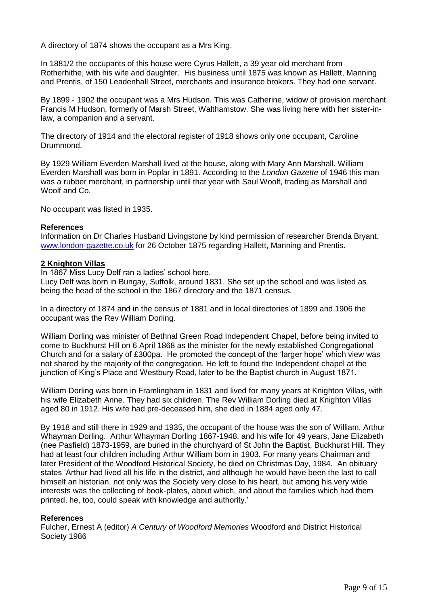A directory of 1874 shows the occupant as a Mrs King.

In 1881/2 the occupants of this house were Cyrus Hallett, a 39 year old merchant from Rotherhithe, with his wife and daughter. His business until 1875 was known as Hallett, Manning and Prentis, of 150 Leadenhall Street, merchants and insurance brokers. They had one servant.

By 1899 - 1902 the occupant was a Mrs Hudson. This was Catherine, widow of provision merchant Francis M Hudson, formerly of Marsh Street, Walthamstow. She was living here with her sister-inlaw, a companion and a servant.

The directory of 1914 and the electoral register of 1918 shows only one occupant, Caroline Drummond.

By 1929 William Everden Marshall lived at the house, along with Mary Ann Marshall. William Everden Marshall was born in Poplar in 1891. According to the *London Gazette* of 1946 this man was a rubber merchant, in partnership until that year with Saul Woolf, trading as Marshall and Woolf and Co.

No occupant was listed in 1935.

#### **References**

Information on Dr Charles Husband Livingstone by kind permission of researcher Brenda Bryant. [www.london-gazette.co.uk](http://www.london-gazette.co.uk/) for 26 October 1875 regarding Hallett, Manning and Prentis.

#### **2 Knighton Villas**

In 1867 Miss Lucy Delf ran a ladies' school here.

Lucy Delf was born in Bungay, Suffolk, around 1831. She set up the school and was listed as being the head of the school in the 1867 directory and the 1871 census.

In a directory of 1874 and in the census of 1881 and in local directories of 1899 and 1906 the occupant was the Rev William Dorling.

William Dorling was minister of Bethnal Green Road Independent Chapel, before being invited to come to Buckhurst Hill on 6 April 1868 as the minister for the newly established Congregational Church and for a salary of £300pa. He promoted the concept of the 'larger hope' which view was not shared by the majority of the congregation. He left to found the Independent chapel at the junction of King's Place and Westbury Road, later to be the Baptist church in August 1871.

William Dorling was born in Framlingham in 1831 and lived for many years at Knighton Villas, with his wife Elizabeth Anne. They had six children. The Rev William Dorling died at Knighton Villas aged 80 in 1912. His wife had pre-deceased him, she died in 1884 aged only 47.

By 1918 and still there in 1929 and 1935, the occupant of the house was the son of William, Arthur Whayman Dorling. Arthur Whayman Dorling 1867-1948, and his wife for 49 years, Jane Elizabeth (nee Pasfield) 1873-1959, are buried in the churchyard of St John the Baptist, Buckhurst Hill. They had at least four children including Arthur William born in 1903. For many years Chairman and later President of the Woodford Historical Society, he died on Christmas Day, 1984. An obituary states 'Arthur had lived all his life in the district, and although he would have been the last to call himself an historian, not only was the Society very close to his heart, but among his very wide interests was the collecting of book-plates, about which, and about the families which had them printed, he, too, could speak with knowledge and authority.'

#### **References**

Fulcher, Ernest A (editor) *A Century of Woodford Memories* Woodford and District Historical Society 1986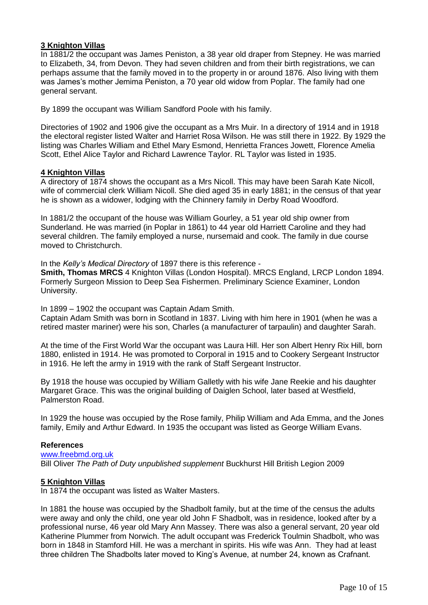## **3 Knighton Villas**

In 1881/2 the occupant was James Peniston, a 38 year old draper from Stepney. He was married to Elizabeth, 34, from Devon. They had seven children and from their birth registrations, we can perhaps assume that the family moved in to the property in or around 1876. Also living with them was James's mother Jemima Peniston, a 70 year old widow from Poplar. The family had one general servant.

By 1899 the occupant was William Sandford Poole with his family.

Directories of 1902 and 1906 give the occupant as a Mrs Muir. In a directory of 1914 and in 1918 the electoral register listed Walter and Harriet Rosa Wilson. He was still there in 1922. By 1929 the listing was Charles William and Ethel Mary Esmond, Henrietta Frances Jowett, Florence Amelia Scott, Ethel Alice Taylor and Richard Lawrence Taylor. RL Taylor was listed in 1935.

### **4 Knighton Villas**

A directory of 1874 shows the occupant as a Mrs Nicoll. This may have been Sarah Kate Nicoll, wife of commercial clerk William Nicoll. She died aged 35 in early 1881; in the census of that year he is shown as a widower, lodging with the Chinnery family in Derby Road Woodford.

In 1881/2 the occupant of the house was William Gourley, a 51 year old ship owner from Sunderland. He was married (in Poplar in 1861) to 44 year old Harriett Caroline and they had several children. The family employed a nurse, nursemaid and cook. The family in due course moved to Christchurch.

In the *Kelly's Medical Directory* of 1897 there is this reference -

**Smith, Thomas MRCS** 4 Knighton Villas (London Hospital). MRCS England, LRCP London 1894. Formerly Surgeon Mission to Deep Sea Fishermen. Preliminary Science Examiner, London University.

In 1899 – 1902 the occupant was Captain Adam Smith.

Captain Adam Smith was born in Scotland in 1837. Living with him here in 1901 (when he was a retired master mariner) were his son, Charles (a manufacturer of tarpaulin) and daughter Sarah.

At the time of the First World War the occupant was Laura Hill. Her son Albert Henry Rix Hill, born 1880, enlisted in 1914. He was promoted to Corporal in 1915 and to Cookery Sergeant Instructor in 1916. He left the army in 1919 with the rank of Staff Sergeant Instructor.

By 1918 the house was occupied by William Galletly with his wife Jane Reekie and his daughter Margaret Grace. This was the original building of Daiglen School, later based at Westfield, Palmerston Road.

In 1929 the house was occupied by the Rose family, Philip William and Ada Emma, and the Jones family, Emily and Arthur Edward. In 1935 the occupant was listed as George William Evans.

#### **References**

[www.freebmd.org.uk](http://www.freebmd.org.uk/) Bill Oliver *The Path of Duty unpublished supplement* Buckhurst Hill British Legion 2009

### **5 Knighton Villas**

In 1874 the occupant was listed as Walter Masters.

In 1881 the house was occupied by the Shadbolt family, but at the time of the census the adults were away and only the child, one year old John F Shadbolt, was in residence, looked after by a professional nurse, 46 year old Mary Ann Massey. There was also a general servant, 20 year old Katherine Plummer from Norwich. The adult occupant was Frederick Toulmin Shadbolt, who was born in 1848 in Stamford Hill. He was a merchant in spirits. His wife was Ann. They had at least three children The Shadbolts later moved to King's Avenue, at number 24, known as Crafnant.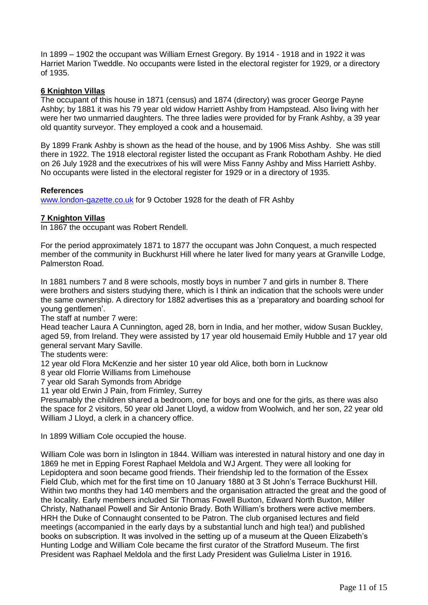In 1899 – 1902 the occupant was William Ernest Gregory. By 1914 - 1918 and in 1922 it was Harriet Marion Tweddle. No occupants were listed in the electoral register for 1929, or a directory of 1935.

#### **6 Knighton Villas**

The occupant of this house in 1871 (census) and 1874 (directory) was grocer George Payne Ashby; by 1881 it was his 79 year old widow Harriett Ashby from Hampstead. Also living with her were her two unmarried daughters. The three ladies were provided for by Frank Ashby, a 39 year old quantity surveyor. They employed a cook and a housemaid.

By 1899 Frank Ashby is shown as the head of the house, and by 1906 Miss Ashby. She was still there in 1922. The 1918 electoral register listed the occupant as Frank Robotham Ashby. He died on 26 July 1928 and the executrixes of his will were Miss Fanny Ashby and Miss Harriett Ashby. No occupants were listed in the electoral register for 1929 or in a directory of 1935.

#### **References**

[www.london-gazette.co.uk](http://www.london-gazette.co.uk/) for 9 October 1928 for the death of FR Ashby

### **7 Knighton Villas**

In 1867 the occupant was Robert Rendell.

For the period approximately 1871 to 1877 the occupant was John Conquest, a much respected member of the community in Buckhurst Hill where he later lived for many years at Granville Lodge, Palmerston Road.

In 1881 numbers 7 and 8 were schools, mostly boys in number 7 and girls in number 8. There were brothers and sisters studying there, which is I think an indication that the schools were under the same ownership. A directory for 1882 advertises this as a 'preparatory and boarding school for young gentlemen'.

The staff at number 7 were:

Head teacher Laura A Cunnington, aged 28, born in India, and her mother, widow Susan Buckley, aged 59, from Ireland. They were assisted by 17 year old housemaid Emily Hubble and 17 year old general servant Mary Saville.

The students were:

12 year old Flora McKenzie and her sister 10 year old Alice, both born in Lucknow

8 year old Florrie Williams from Limehouse

7 year old Sarah Symonds from Abridge

11 year old Erwin J Pain, from Frimley, Surrey

Presumably the children shared a bedroom, one for boys and one for the girls, as there was also the space for 2 visitors, 50 year old Janet Lloyd, a widow from Woolwich, and her son, 22 year old William J Lloyd, a clerk in a chancery office.

In 1899 William Cole occupied the house.

William Cole was born in Islington in 1844. William was interested in natural history and one day in 1869 he met in Epping Forest Raphael Meldola and WJ Argent. They were all looking for Lepidoptera and soon became good friends. Their friendship led to the formation of the Essex Field Club, which met for the first time on 10 January 1880 at 3 St John's Terrace Buckhurst Hill. Within two months they had 140 members and the organisation attracted the great and the good of the locality. Early members included Sir Thomas Fowell Buxton, Edward North Buxton, Miller Christy, Nathanael Powell and Sir Antonio Brady. Both William's brothers were active members. HRH the Duke of Connaught consented to be Patron. The club organised lectures and field meetings (accompanied in the early days by a substantial lunch and high tea!) and published books on subscription. It was involved in the setting up of a museum at the Queen Elizabeth's Hunting Lodge and William Cole became the first curator of the Stratford Museum. The first President was Raphael Meldola and the first Lady President was Gulielma Lister in 1916.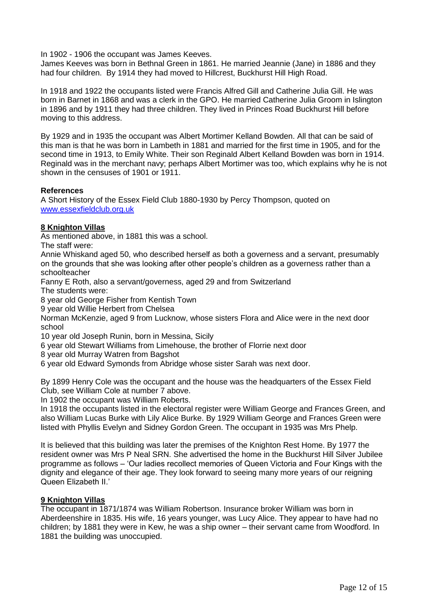In 1902 - 1906 the occupant was James Keeves.

James Keeves was born in Bethnal Green in 1861. He married Jeannie (Jane) in 1886 and they had four children. By 1914 they had moved to Hillcrest, Buckhurst Hill High Road.

In 1918 and 1922 the occupants listed were Francis Alfred Gill and Catherine Julia Gill. He was born in Barnet in 1868 and was a clerk in the GPO. He married Catherine Julia Groom in Islington in 1896 and by 1911 they had three children. They lived in Princes Road Buckhurst Hill before moving to this address.

By 1929 and in 1935 the occupant was Albert Mortimer Kelland Bowden. All that can be said of this man is that he was born in Lambeth in 1881 and married for the first time in 1905, and for the second time in 1913, to Emily White. Their son Reginald Albert Kelland Bowden was born in 1914. Reginald was in the merchant navy; perhaps Albert Mortimer was too, which explains why he is not shown in the censuses of 1901 or 1911.

#### **References**

A Short History of the Essex Field Club 1880-1930 by Percy Thompson, quoted on [www.essexfieldclub.org.uk](http://www.essexfieldclub.org.uk/)

### **8 Knighton Villas**

As mentioned above, in 1881 this was a school.

The staff were:

Annie Whiskand aged 50, who described herself as both a governess and a servant, presumably on the grounds that she was looking after other people's children as a governess rather than a schoolteacher

Fanny E Roth, also a servant/governess, aged 29 and from Switzerland

The students were:

8 year old George Fisher from Kentish Town

9 year old Willie Herbert from Chelsea

Norman McKenzie, aged 9 from Lucknow, whose sisters Flora and Alice were in the next door school

10 year old Joseph Runin, born in Messina, Sicily

6 year old Stewart Williams from Limehouse, the brother of Florrie next door

8 year old Murray Watren from Bagshot

6 year old Edward Symonds from Abridge whose sister Sarah was next door.

By 1899 Henry Cole was the occupant and the house was the headquarters of the Essex Field Club, see William Cole at number 7 above.

In 1902 the occupant was William Roberts.

In 1918 the occupants listed in the electoral register were William George and Frances Green, and also William Lucas Burke with Lily Alice Burke. By 1929 William George and Frances Green were listed with Phyllis Evelyn and Sidney Gordon Green. The occupant in 1935 was Mrs Phelp.

It is believed that this building was later the premises of the Knighton Rest Home. By 1977 the resident owner was Mrs P Neal SRN. She advertised the home in the Buckhurst Hill Silver Jubilee programme as follows – 'Our ladies recollect memories of Queen Victoria and Four Kings with the dignity and elegance of their age. They look forward to seeing many more years of our reigning Queen Elizabeth II.'

### **9 Knighton Villas**

The occupant in 1871/1874 was William Robertson. Insurance broker William was born in Aberdeenshire in 1835. His wife, 16 years younger, was Lucy Alice. They appear to have had no children; by 1881 they were in Kew, he was a ship owner – their servant came from Woodford. In 1881 the building was unoccupied.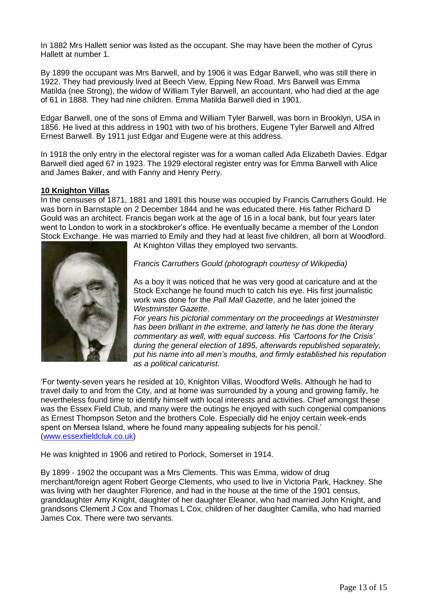In 1882 Mrs Hallett senior was listed as the occupant. She may have been the mother of Cyrus Hallett at number 1.

By 1899 the occupant was Mrs Barwell, and by 1906 it was Edgar Barwell, who was still there in 1922. They had previously lived at Beech View, Epping New Road. Mrs Barwell was Emma Matilda (nee Strong), the widow of William Tyler Barwell, an accountant, who had died at the age of 61 in 1888. They had nine children. Emma Matilda Barwell died in 1901.

Edgar Barwell, one of the sons of Emma and William Tyler Barwell, was born in Brooklyn, USA in 1856. He lived at this address in 1901 with two of his brothers, Eugene Tyler Barwell and Alfred Ernest Barwell. By 1911 just Edgar and Eugene were at this address.

In 1918 the only entry in the electoral register was for a woman called Ada Elizabeth Davies. Edgar Barwell died aged 67 in 1923. The 1929 electoral register entry was for Emma Barwell with Alice and James Baker, and with Fanny and Henry Perry.

#### **10 Knighton Villas**

In the censuses of 1871, 1881 and 1891 this house was occupied by Francis Carruthers Gould. He was born in Barnstaple on 2 December 1844 and he was educated there. His father Richard D Gould was an architect. Francis began work at the age of 16 in a local bank, but four years later went to London to work in a stockbroker's office. He eventually became a member of the London Stock Exchange. He was married to Emily and they had at least five children, all born at Woodford.



At Knighton Villas they employed two servants.

*Francis Carruthers Gould (photograph courtesy of Wikipedia)*

As a boy it was noticed that he was very good at caricature and at the Stock Exchange he found much to catch his eye. His first journalistic work was done for the *Pall Mall Gazette*, and he later joined the *Westminster Gazette*.

*For years his pictorial commentary on the proceedings at Westminster has been brilliant in the extreme, and latterly he has done the literary commentary as well, with equal success. His 'Cartoons for the Crisis' during the general election of 1895, afterwards republished separately, put his name into all men's mouths, and firmly established his reputation as a political caricaturist.*

'For twenty-seven years he resided at 10, Knighton Villas, Woodford Wells. Although he had to travel daily to and from the City, and at home was surrounded by a young and growing family, he nevertheless found time to identify himself with local interests and activities. Chief amongst these was the Essex Field Club, and many were the outings he enjoyed with such congenial companions as Ernest Thompson Seton and the brothers Cole. Especially did he enjoy certain week-ends spent on Mersea Island, where he found many appealing subjects for his pencil.' [\(www.essexfieldcluk.co.uk\)](http://www.essexfieldcluk.co.uk/)

He was knighted in 1906 and retired to Porlock, Somerset in 1914.

By 1899 - 1902 the occupant was a Mrs Clements. This was Emma, widow of drug merchant/foreign agent Robert George Clements, who used to live in Victoria Park, Hackney. She was living with her daughter Florence, and had in the house at the time of the 1901 census, granddaughter Amy Knight, daughter of her daughter Eleanor, who had married John Knight, and grandsons Clement J Cox and Thomas L Cox, children of her daughter Camilla, who had married James Cox. There were two servants.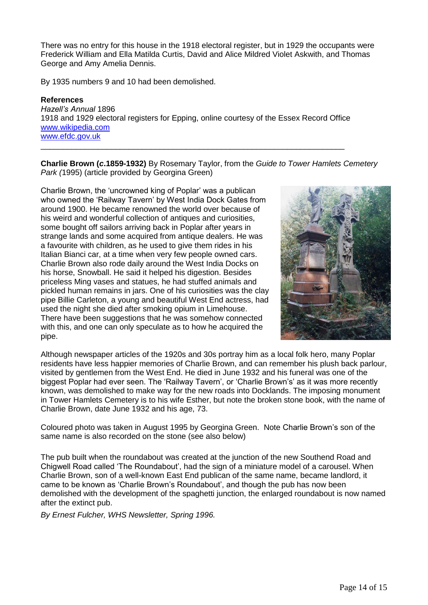There was no entry for this house in the 1918 electoral register, but in 1929 the occupants were Frederick William and Ella Matilda Curtis, David and Alice Mildred Violet Askwith, and Thomas George and Amy Amelia Dennis.

By 1935 numbers 9 and 10 had been demolished.

## **References**

*Hazell's Annual* 1896 1918 and 1929 electoral registers for Epping, online courtesy of the Essex Record Office [www.wikipedia.com](http://www.wikipedia.com/) [www.efdc.gov.uk](http://www.efdc.gov.uk/)

\_\_\_\_\_\_\_\_\_\_\_\_\_\_\_\_\_\_\_\_\_\_\_\_\_\_\_\_\_\_\_\_\_\_\_\_\_\_\_\_\_\_\_\_\_\_\_\_\_\_\_\_\_\_\_\_\_\_\_\_\_\_\_\_\_\_\_\_\_

**Charlie Brown (***c***.1859-1932)** By Rosemary Taylor, from the *Guide to Tower Hamlets Cemetery Park (*1995) (article provided by Georgina Green)

Charlie Brown, the 'uncrowned king of Poplar' was a publican who owned the 'Railway Tavern' by West India Dock Gates from around 1900. He became renowned the world over because of his weird and wonderful collection of antiques and curiosities, some bought off sailors arriving back in Poplar after years in strange lands and some acquired from antique dealers. He was a favourite with children, as he used to give them rides in his Italian Bianci car, at a time when very few people owned cars. Charlie Brown also rode daily around the West India Docks on his horse, Snowball. He said it helped his digestion. Besides priceless Ming vases and statues, he had stuffed animals and pickled human remains in jars. One of his curiosities was the clay pipe Billie Carleton, a young and beautiful West End actress, had used the night she died after smoking opium in Limehouse. There have been suggestions that he was somehow connected with this, and one can only speculate as to how he acquired the pipe.



Although newspaper articles of the 1920s and 30s portray him as a local folk hero, many Poplar residents have less happier memories of Charlie Brown, and can remember his plush back parlour, visited by gentlemen from the West End. He died in June 1932 and his funeral was one of the biggest Poplar had ever seen. The 'Railway Tavern', or 'Charlie Brown's' as it was more recently known, was demolished to make way for the new roads into Docklands. The imposing monument in Tower Hamlets Cemetery is to his wife Esther, but note the broken stone book, with the name of Charlie Brown, date June 1932 and his age, 73.

Coloured photo was taken in August 1995 by Georgina Green. Note Charlie Brown's son of the same name is also recorded on the stone (see also below)

The pub built when the roundabout was created at the junction of the new Southend Road and Chigwell Road called 'The Roundabout', had the sign of a miniature model of a carousel. When Charlie Brown, son of a well-known East End publican of the same name, became landlord, it came to be known as 'Charlie Brown's Roundabout', and though the pub has now been demolished with the development of the spaghetti junction, the enlarged roundabout is now named after the extinct pub.

*By Ernest Fulcher, WHS Newsletter, Spring 1996.*